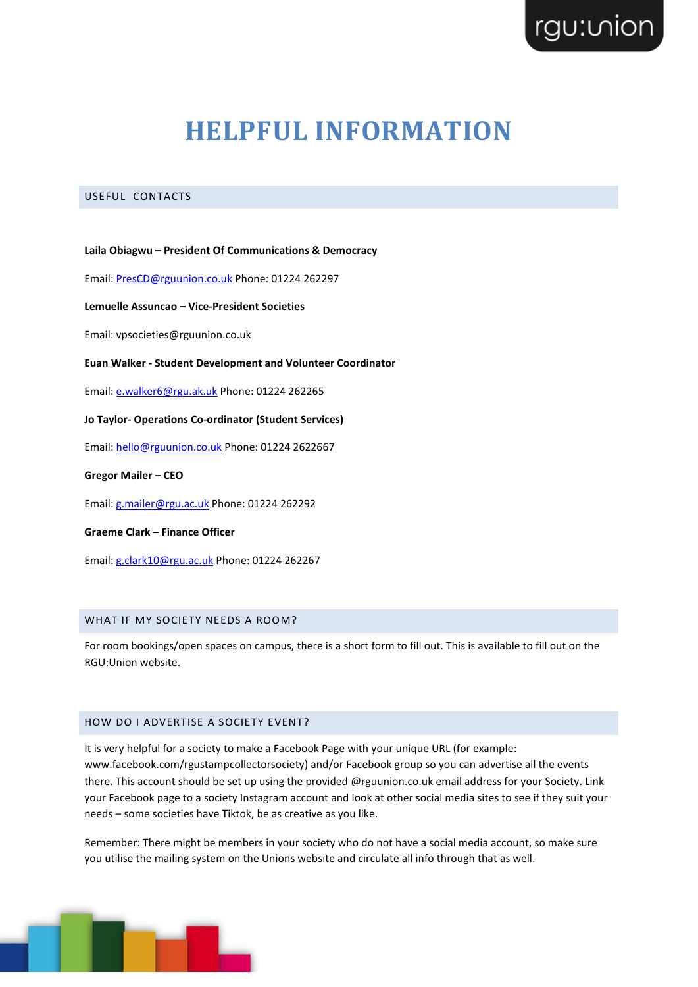# **HELPFUL INFORMATION**

## USEFUL CONTACTS

**Laila Obiagwu – President Of Communications & Democracy**

Email: [PresCD@rguunion.co.uk](mailto:PresCD@rguunion.co.uk) Phone: 01224 262297

**Lemuelle Assuncao – Vice-President Societies**

Email: vpsocieties@rguunion.co.uk

#### **Euan Walker - Student Development and Volunteer Coordinator**

Email: [e.walker6@rgu.ak.uk](mailto:e.walker6@rgu.ak.uk) Phone: 01224 262265

## **Jo Taylor- Operations Co-ordinator (Student Services)**

Email: [hello@rguunion.co.uk](mailto:hello@rguunion.co.uk) Phone: 01224 2622667

**Gregor Mailer – CEO**

Email: [g.mailer@rgu.ac.uk](mailto:g.mailer@rgu.ac.uk) Phone: 01224 262292

### **Graeme Clark – Finance Officer**

Email: [g.clark10@rgu.ac.uk](mailto:g.clark10@rgu.ac.uk) Phone: 01224 262267

## WHAT IF MY SOCIETY NEEDS A ROOM?

For room bookings/open spaces on campus, there is a short form to fill out. This is available to fill out on the RGU:Union website.

## HOW DO I ADVERTISE A SOCIETY EVENT?

It is very helpful for a society to make a Facebook Page with your unique URL (for example: www.facebook.com/rgustampcollectorsociety) and/or Facebook group so you can advertise all the events there. This account should be set up using the provided @rguunion.co.uk email address for your Society. Link your Facebook page to a society Instagram account and look at other social media sites to see if they suit your needs – some societies have Tiktok, be as creative as you like.

Remember: There might be members in your society who do not have a social media account, so make sure you utilise the mailing system on the Unions website and circulate all info through that as well.

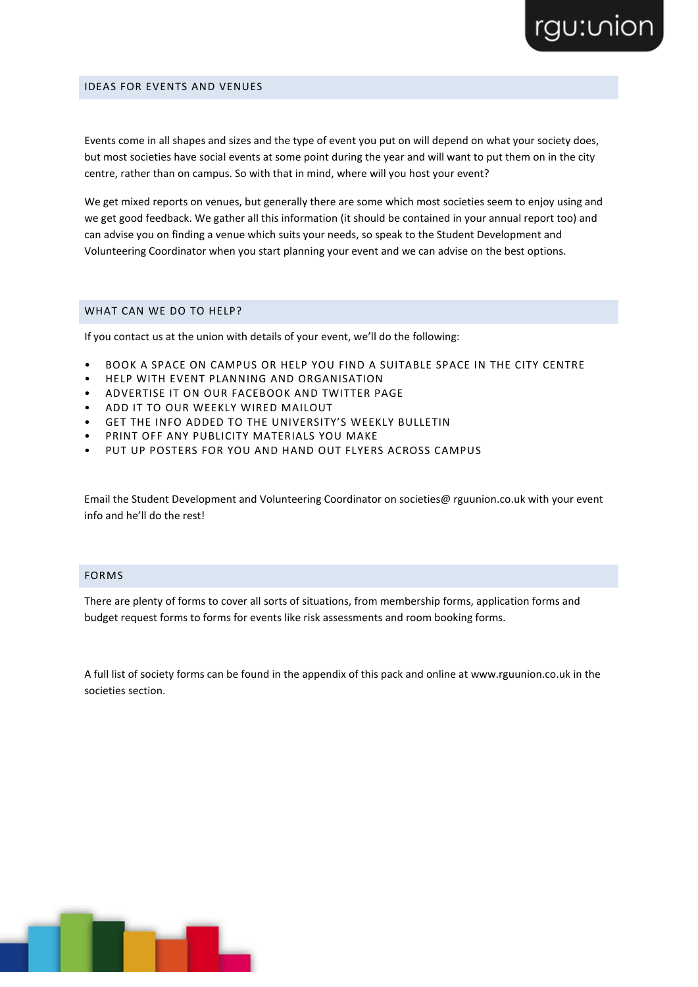# rgu:vion

#### IDEAS FOR EVENTS AND VENUES

Events come in all shapes and sizes and the type of event you put on will depend on what your society does, but most societies have social events at some point during the year and will want to put them on in the city centre, rather than on campus. So with that in mind, where will you host your event?

We get mixed reports on venues, but generally there are some which most societies seem to enjoy using and we get good feedback. We gather all this information (it should be contained in your annual report too) and can advise you on finding a venue which suits your needs, so speak to the Student Development and Volunteering Coordinator when you start planning your event and we can advise on the best options.

### WHAT CAN WE DO TO HELP?

If you contact us at the union with details of your event, we'll do the following:

- BOOK A SPACE ON CAMPUS OR HELP YOU FIND A SUITABLE SPACE IN THE CITY CENTRE
- HELP WITH EVENT PLANNING AND ORGANISATION
- ADVERTISE IT ON OUR FACEBOOK AND TWITTER PAGE
- ADD IT TO OUR WEEKLY WIRED MAILOUT
- GET THE INFO ADDED TO THE UNIVERSITY'S WEEKLY BULLETIN
- PRINT OFF ANY PUBLICITY MATERIALS YOU MAKE
- PUT UP POSTERS FOR YOU AND HAND OUT FLYERS ACROSS CAMPUS

Email the Student Development and Volunteering Coordinator on societies@ rguunion.co.uk with your event info and he'll do the rest!

## FORMS

There are plenty of forms to cover all sorts of situations, from membership forms, application forms and budget request forms to forms for events like risk assessments and room booking forms.

A full list of society forms can be found in the appendix of this pack and online at www.rguunion.co.uk in the societies section.

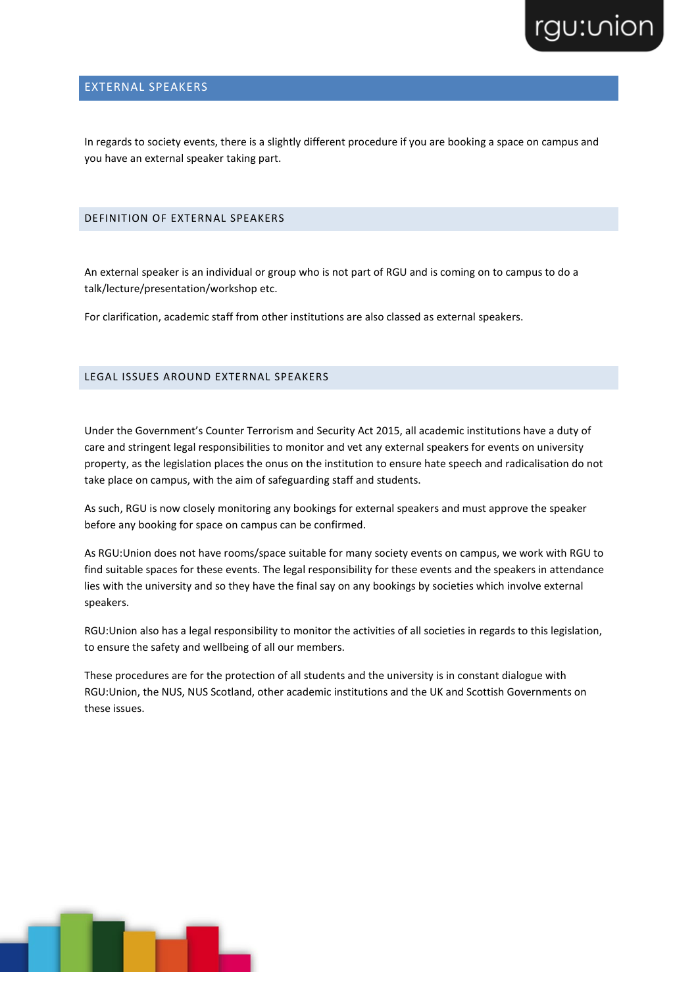

## EXTERNAL SPEAKERS

In regards to society events, there is a slightly different procedure if you are booking a space on campus and you have an external speaker taking part.

## DEFINITION OF EXTERNAL SPEAKERS

An external speaker is an individual or group who is not part of RGU and is coming on to campus to do a talk/lecture/presentation/workshop etc.

For clarification, academic staff from other institutions are also classed as external speakers.

## LEGAL ISSUES AROUND EXTERNAL SPEAKERS

Under the Government's Counter Terrorism and Security Act 2015, all academic institutions have a duty of care and stringent legal responsibilities to monitor and vet any external speakers for events on university property, as the legislation places the onus on the institution to ensure hate speech and radicalisation do not take place on campus, with the aim of safeguarding staff and students.

As such, RGU is now closely monitoring any bookings for external speakers and must approve the speaker before any booking for space on campus can be confirmed.

As RGU:Union does not have rooms/space suitable for many society events on campus, we work with RGU to find suitable spaces for these events. The legal responsibility for these events and the speakers in attendance lies with the university and so they have the final say on any bookings by societies which involve external speakers.

RGU:Union also has a legal responsibility to monitor the activities of all societies in regards to this legislation, to ensure the safety and wellbeing of all our members.

These procedures are for the protection of all students and the university is in constant dialogue with RGU:Union, the NUS, NUS Scotland, other academic institutions and the UK and Scottish Governments on these issues.

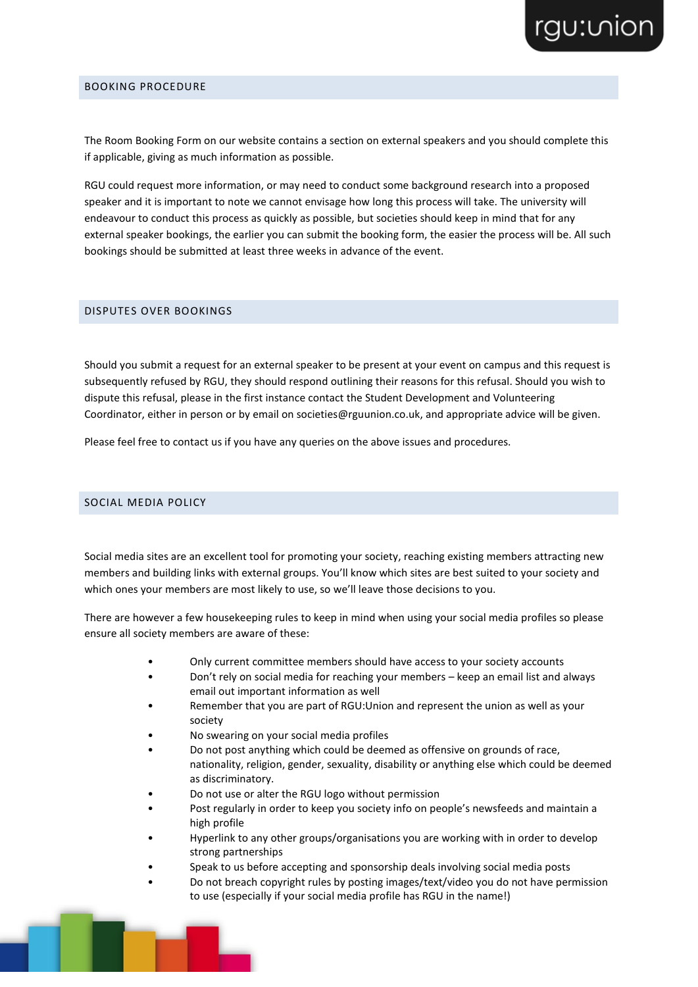# rgu:vion

### BOOKING PROCEDURE

The Room Booking Form on our website contains a section on external speakers and you should complete this if applicable, giving as much information as possible.

RGU could request more information, or may need to conduct some background research into a proposed speaker and it is important to note we cannot envisage how long this process will take. The university will endeavour to conduct this process as quickly as possible, but societies should keep in mind that for any external speaker bookings, the earlier you can submit the booking form, the easier the process will be. All such bookings should be submitted at least three weeks in advance of the event.

## DISPUTES OVER BOOKINGS

Should you submit a request for an external speaker to be present at your event on campus and this request is subsequently refused by RGU, they should respond outlining their reasons for this refusal. Should you wish to dispute this refusal, please in the first instance contact the Student Development and Volunteering Coordinator, either in person or by email on societies@rguunion.co.uk, and appropriate advice will be given.

Please feel free to contact us if you have any queries on the above issues and procedures.

## SOCIAL MEDIA POLICY

Social media sites are an excellent tool for promoting your society, reaching existing members attracting new members and building links with external groups. You'll know which sites are best suited to your society and which ones your members are most likely to use, so we'll leave those decisions to you.

There are however a few housekeeping rules to keep in mind when using your social media profiles so please ensure all society members are aware of these:

- Only current committee members should have access to your society accounts
- Don't rely on social media for reaching your members keep an email list and always email out important information as well
- Remember that you are part of RGU:Union and represent the union as well as your society
- No swearing on your social media profiles
- Do not post anything which could be deemed as offensive on grounds of race, nationality, religion, gender, sexuality, disability or anything else which could be deemed as discriminatory.
- Do not use or alter the RGU logo without permission
- Post regularly in order to keep you society info on people's newsfeeds and maintain a high profile
- Hyperlink to any other groups/organisations you are working with in order to develop strong partnerships
- Speak to us before accepting and sponsorship deals involving social media posts
- Do not breach copyright rules by posting images/text/video you do not have permission to use (especially if your social media profile has RGU in the name!)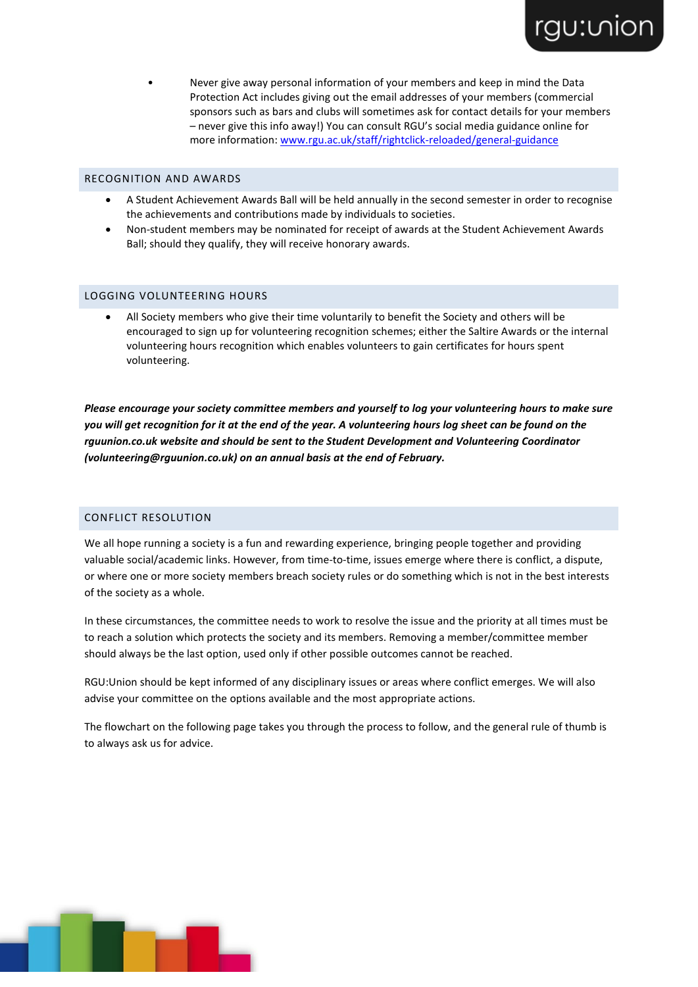• Never give away personal information of your members and keep in mind the Data Protection Act includes giving out the email addresses of your members (commercial sponsors such as bars and clubs will sometimes ask for contact details for your members – never give this info away!) You can consult RGU's social media guidance online for more information: [www.rgu.ac.uk/staff/rightclick-reloaded/general-guidance](http://www.rgu.ac.uk/staff/rightclick-reloaded/general-guidance)

rgu: uion

### RECOGNITION AND AWARDS

- A Student Achievement Awards Ball will be held annually in the second semester in order to recognise the achievements and contributions made by individuals to societies.
- Non-student members may be nominated for receipt of awards at the Student Achievement Awards Ball; should they qualify, they will receive honorary awards.

#### LOGGING VOLUNTEERING HOURS

• All Society members who give their time voluntarily to benefit the Society and others will be encouraged to sign up for volunteering recognition schemes; either the Saltire Awards or the internal volunteering hours recognition which enables volunteers to gain certificates for hours spent volunteering.

*Please encourage your society committee members and yourself to log your volunteering hours to make sure you will get recognition for it at the end of the year. A volunteering hours log sheet can be found on the rguunion.co.uk website and should be sent to the Student Development and Volunteering Coordinator (volunteering@rguunion.co.uk) on an annual basis at the end of February.*

## CONFLICT RESOLUTION

We all hope running a society is a fun and rewarding experience, bringing people together and providing valuable social/academic links. However, from time-to-time, issues emerge where there is conflict, a dispute, or where one or more society members breach society rules or do something which is not in the best interests of the society as a whole.

In these circumstances, the committee needs to work to resolve the issue and the priority at all times must be to reach a solution which protects the society and its members. Removing a member/committee member should always be the last option, used only if other possible outcomes cannot be reached.

RGU:Union should be kept informed of any disciplinary issues or areas where conflict emerges. We will also advise your committee on the options available and the most appropriate actions.

The flowchart on the following page takes you through the process to follow, and the general rule of thumb is to always ask us for advice.